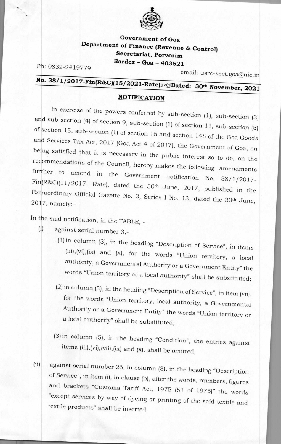

## **Government of Goa Department of Finance (Revenue & Control) Secretariat, Porvorim Bardez - Goa - 403521**

Ph: 0832-2419779

email: usre-sect.goa@nic.in

## No. 38/1/2017-Fin(R&C)(15/2021-Rate)<sub>2483</sub>Dated: 30<sup>th</sup> November, 2021

## **NOTIFICATION**

In exercise of the powers conferred by sub-section (1), sub-section (3) and sub-section (4) of section 9, sub-section (1) of section 11, sub-section (5) of ection 15, sub-section (1) of section 16 and section 148 of the Goa Goods and Services Tax Act, 2017 (Goa Act 4 of 2017), the Government of Goa, on being satisfied that it is necessary in the public interest so to do, on the recommendations of the Council, hereby makes the following amendments amend in the Government notification No. 38/1/2017-Fin(R&C)(11/2 017- Rate), dated the 30th June, 2017, published in the Extraordinary Official Gazette No. 3, Series I No. 13, dated the 30th June  $2017$ , namely:-  $\frac{30 \text{ h} \cdot 201 \text{ h}}{201 \text{ h} \cdot 100}$ ,  $\frac{13}{100}$ , dated the 30<sup>th</sup> June, further to

In the said notification, in the TABLE, -

- $(i)$  against serial number 3,-
	- (1) in column (3), in the heading "Description of Service", in items (iii),(vi),(ix) and (x), for the words "Union territory, a local authority, a Governmental Authority or a Government Entity" the words "Union territory or a local authority" shall be substituted;
	- (2) in column (3), in the heading "Description of Service", in item (vii), for the words "Union territory, local authority, a Governmental Authority or a Government Entity" the words "Union territory or a local authority" shall be substituted;
	- (3) in column (5), in the heading "Condition", the entries against items  $(iii)$ , $(vi)$ , $(vii)$ , $(ix)$  and  $(x)$ , shall be omitted;
- (ii) against serial number 26, in column (3), in the heading "Description of Service", in item (i), in clause (b), after the words, numbers, figures and brackets "Customs Tariff Act, 1975 (51 of 1975)" the words "except services by way of dyeing or printing of the said textile and textile products" shall be inserted.